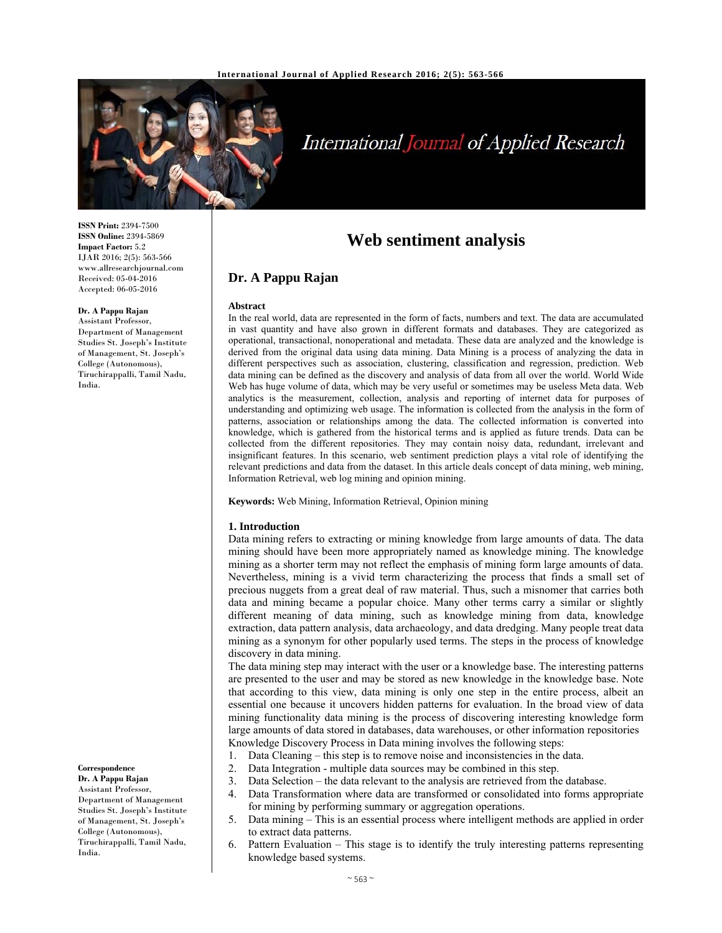

# International Journal of Applied Research

**ISSN Print:** 2394-7500 **ISSN Online:** 2394-5869 **Impact Factor:** 5.2 IJAR 2016; 2(5): 563-566 www.allresearchjournal.com Received: 05-04-2016 Accepted: 06-05-2016

## **Dr. A Pappu Rajan**

Assistant Professor, Department of Management Studies St. Joseph's Institute of Management, St. Joseph's College (Autonomous), Tiruchirappalli, Tamil Nadu, India.

**Correspondence Dr. A Pappu Rajan** 

Assistant Professor, Department of Management Studies St. Joseph's Institute of Management, St. Joseph's College (Autonomous), Tiruchirappalli, Tamil Nadu, India.

## **Web sentiment analysis**

## **Dr. A Pappu Rajan**

#### **Abstract**

In the real world, data are represented in the form of facts, numbers and text. The data are accumulated in vast quantity and have also grown in different formats and databases. They are categorized as operational, transactional, nonoperational and metadata. These data are analyzed and the knowledge is derived from the original data using data mining. Data Mining is a process of analyzing the data in different perspectives such as association, clustering, classification and regression, prediction. Web data mining can be defined as the discovery and analysis of data from all over the world. World Wide Web has huge volume of data, which may be very useful or sometimes may be useless Meta data. Web analytics is the measurement, collection, analysis and reporting of internet data for purposes of understanding and optimizing web usage. The information is collected from the analysis in the form of patterns, association or relationships among the data. The collected information is converted into knowledge, which is gathered from the historical terms and is applied as future trends. Data can be collected from the different repositories. They may contain noisy data, redundant, irrelevant and insignificant features. In this scenario, web sentiment prediction plays a vital role of identifying the relevant predictions and data from the dataset. In this article deals concept of data mining, web mining, Information Retrieval, web log mining and opinion mining.

**Keywords:** Web Mining, Information Retrieval, Opinion mining

## **1. Introduction**

Data mining refers to extracting or mining knowledge from large amounts of data. The data mining should have been more appropriately named as knowledge mining. The knowledge mining as a shorter term may not reflect the emphasis of mining form large amounts of data. Nevertheless, mining is a vivid term characterizing the process that finds a small set of precious nuggets from a great deal of raw material. Thus, such a misnomer that carries both data and mining became a popular choice. Many other terms carry a similar or slightly different meaning of data mining, such as knowledge mining from data, knowledge extraction, data pattern analysis, data archaeology, and data dredging. Many people treat data mining as a synonym for other popularly used terms. The steps in the process of knowledge discovery in data mining.

The data mining step may interact with the user or a knowledge base. The interesting patterns are presented to the user and may be stored as new knowledge in the knowledge base. Note that according to this view, data mining is only one step in the entire process, albeit an essential one because it uncovers hidden patterns for evaluation. In the broad view of data mining functionality data mining is the process of discovering interesting knowledge form large amounts of data stored in databases, data warehouses, or other information repositories Knowledge Discovery Process in Data mining involves the following steps:

- 1. Data Cleaning this step is to remove noise and inconsistencies in the data.
- 2. Data Integration multiple data sources may be combined in this step.
- 3. Data Selection the data relevant to the analysis are retrieved from the database.
- 4. Data Transformation where data are transformed or consolidated into forms appropriate for mining by performing summary or aggregation operations.
- 5. Data mining This is an essential process where intelligent methods are applied in order to extract data patterns.
- 6. Pattern Evaluation This stage is to identify the truly interesting patterns representing knowledge based systems.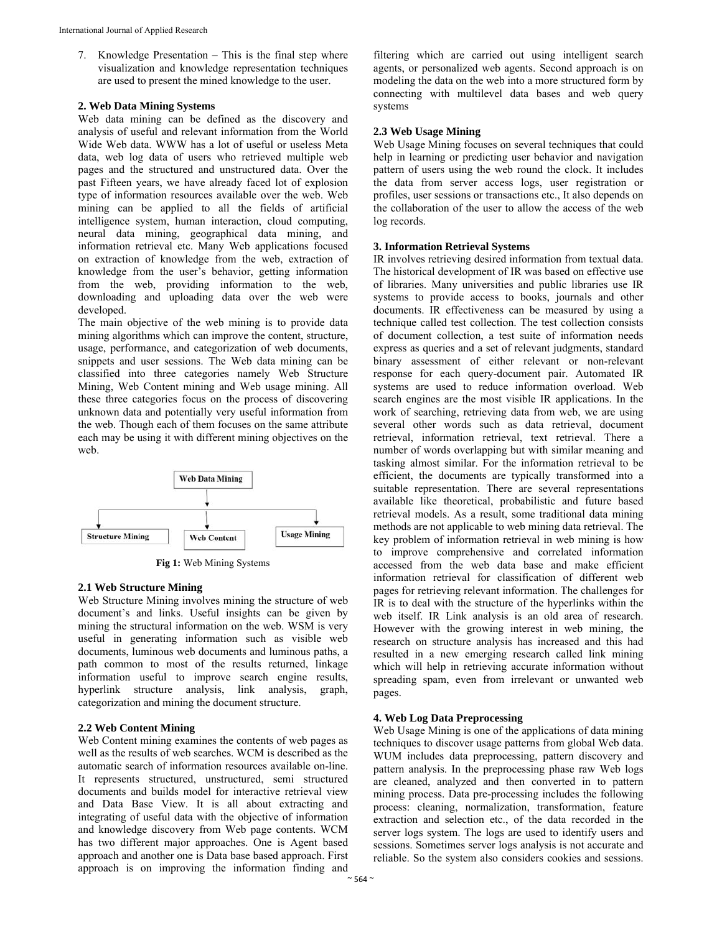7. Knowledge Presentation – This is the final step where visualization and knowledge representation techniques are used to present the mined knowledge to the user.

## **2. Web Data Mining Systems**

Web data mining can be defined as the discovery and analysis of useful and relevant information from the World Wide Web data. WWW has a lot of useful or useless Meta data, web log data of users who retrieved multiple web pages and the structured and unstructured data. Over the past Fifteen years, we have already faced lot of explosion type of information resources available over the web. Web mining can be applied to all the fields of artificial intelligence system, human interaction, cloud computing, neural data mining, geographical data mining, and information retrieval etc. Many Web applications focused on extraction of knowledge from the web, extraction of knowledge from the user's behavior, getting information from the web, providing information to the web, downloading and uploading data over the web were developed.

The main objective of the web mining is to provide data mining algorithms which can improve the content, structure, usage, performance, and categorization of web documents, snippets and user sessions. The Web data mining can be classified into three categories namely Web Structure Mining, Web Content mining and Web usage mining. All these three categories focus on the process of discovering unknown data and potentially very useful information from the web. Though each of them focuses on the same attribute each may be using it with different mining objectives on the web.



**Fig 1:** Web Mining Systems

## **2.1 Web Structure Mining**

Web Structure Mining involves mining the structure of web document's and links. Useful insights can be given by mining the structural information on the web. WSM is very useful in generating information such as visible web documents, luminous web documents and luminous paths, a path common to most of the results returned, linkage information useful to improve search engine results, hyperlink structure analysis, link analysis, graph, categorization and mining the document structure.

## **2.2 Web Content Mining**

Web Content mining examines the contents of web pages as well as the results of web searches. WCM is described as the automatic search of information resources available on-line. It represents structured, unstructured, semi structured documents and builds model for interactive retrieval view and Data Base View. It is all about extracting and integrating of useful data with the objective of information and knowledge discovery from Web page contents. WCM has two different major approaches. One is Agent based approach and another one is Data base based approach. First approach is on improving the information finding and

filtering which are carried out using intelligent search agents, or personalized web agents. Second approach is on modeling the data on the web into a more structured form by connecting with multilevel data bases and web query systems

## **2.3 Web Usage Mining**

Web Usage Mining focuses on several techniques that could help in learning or predicting user behavior and navigation pattern of users using the web round the clock. It includes the data from server access logs, user registration or profiles, user sessions or transactions etc., It also depends on the collaboration of the user to allow the access of the web log records.

#### **3. Information Retrieval Systems**

IR involves retrieving desired information from textual data. The historical development of IR was based on effective use of libraries. Many universities and public libraries use IR systems to provide access to books, journals and other documents. IR effectiveness can be measured by using a technique called test collection. The test collection consists of document collection, a test suite of information needs express as queries and a set of relevant judgments, standard binary assessment of either relevant or non-relevant response for each query-document pair. Automated IR systems are used to reduce information overload. Web search engines are the most visible IR applications. In the work of searching, retrieving data from web, we are using several other words such as data retrieval, document retrieval, information retrieval, text retrieval. There a number of words overlapping but with similar meaning and tasking almost similar. For the information retrieval to be efficient, the documents are typically transformed into a suitable representation. There are several representations available like theoretical, probabilistic and future based retrieval models. As a result, some traditional data mining methods are not applicable to web mining data retrieval. The key problem of information retrieval in web mining is how to improve comprehensive and correlated information accessed from the web data base and make efficient information retrieval for classification of different web pages for retrieving relevant information. The challenges for IR is to deal with the structure of the hyperlinks within the web itself. IR Link analysis is an old area of research. However with the growing interest in web mining, the research on structure analysis has increased and this had resulted in a new emerging research called link mining which will help in retrieving accurate information without spreading spam, even from irrelevant or unwanted web pages.

#### **4. Web Log Data Preprocessing**

Web Usage Mining is one of the applications of data mining techniques to discover usage patterns from global Web data. WUM includes data preprocessing, pattern discovery and pattern analysis. In the preprocessing phase raw Web logs are cleaned, analyzed and then converted in to pattern mining process. Data pre-processing includes the following process: cleaning, normalization, transformation, feature extraction and selection etc., of the data recorded in the server logs system. The logs are used to identify users and sessions. Sometimes server logs analysis is not accurate and reliable. So the system also considers cookies and sessions.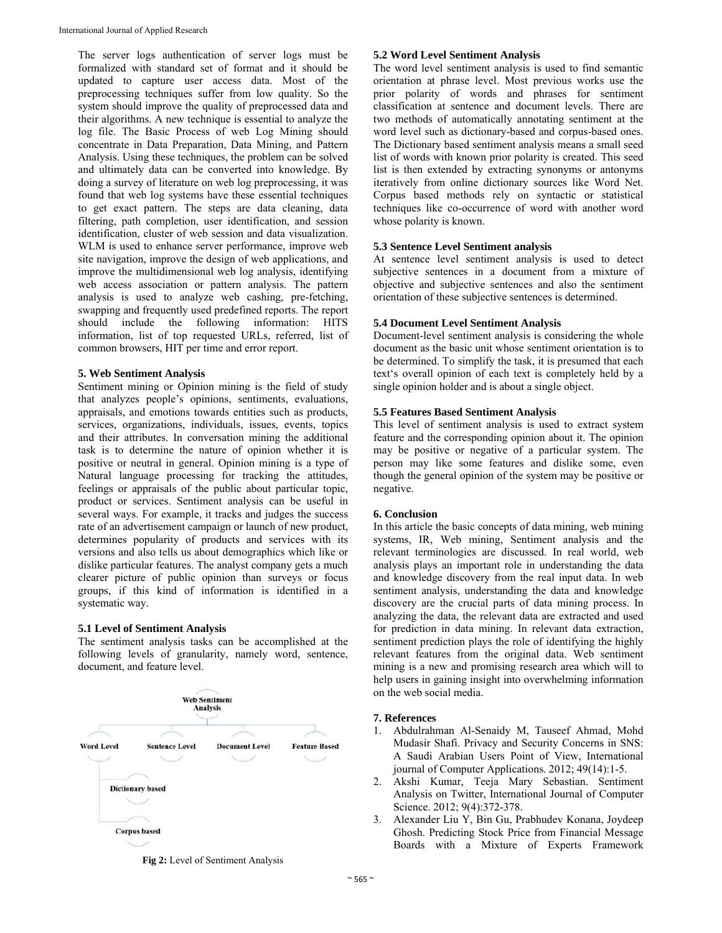The server logs authentication of server logs must be formalized with standard set of format and it should be updated to capture user access data. Most of the preprocessing techniques suffer from low quality. So the system should improve the quality of preprocessed data and their algorithms. A new technique is essential to analyze the log file. The Basic Process of web Log Mining should concentrate in Data Preparation, Data Mining, and Pattern Analysis. Using these techniques, the problem can be solved and ultimately data can be converted into knowledge. By doing a survey of literature on web log preprocessing, it was found that web log systems have these essential techniques to get exact pattern. The steps are data cleaning, data filtering, path completion, user identification, and session identification, cluster of web session and data visualization. WLM is used to enhance server performance, improve web site navigation, improve the design of web applications, and improve the multidimensional web log analysis, identifying web access association or pattern analysis. The pattern analysis is used to analyze web cashing, pre-fetching, swapping and frequently used predefined reports. The report should include the following information: HITS information, list of top requested URLs, referred, list of common browsers, HIT per time and error report.

### **5. Web Sentiment Analysis**

Sentiment mining or Opinion mining is the field of study that analyzes people's opinions, sentiments, evaluations, appraisals, and emotions towards entities such as products, services, organizations, individuals, issues, events, topics and their attributes. In conversation mining the additional task is to determine the nature of opinion whether it is positive or neutral in general. Opinion mining is a type of Natural language processing for tracking the attitudes, feelings or appraisals of the public about particular topic, product or services. Sentiment analysis can be useful in several ways. For example, it tracks and judges the success rate of an advertisement campaign or launch of new product, determines popularity of products and services with its versions and also tells us about demographics which like or dislike particular features. The analyst company gets a much clearer picture of public opinion than surveys or focus groups, if this kind of information is identified in a systematic way.

## **5.1 Level of Sentiment Analysis**

The sentiment analysis tasks can be accomplished at the following levels of granularity, namely word, sentence, document, and feature level.



**Fig 2:** Level of Sentiment Analysis

### **5.2 Word Level Sentiment Analysis**

The word level sentiment analysis is used to find semantic orientation at phrase level. Most previous works use the prior polarity of words and phrases for sentiment classification at sentence and document levels. There are two methods of automatically annotating sentiment at the word level such as dictionary-based and corpus-based ones. The Dictionary based sentiment analysis means a small seed list of words with known prior polarity is created. This seed list is then extended by extracting synonyms or antonyms iteratively from online dictionary sources like Word Net. Corpus based methods rely on syntactic or statistical techniques like co-occurrence of word with another word whose polarity is known.

## **5.3 Sentence Level Sentiment analysis**

At sentence level sentiment analysis is used to detect subjective sentences in a document from a mixture of objective and subjective sentences and also the sentiment orientation of these subjective sentences is determined.

## **5.4 Document Level Sentiment Analysis**

Document-level sentiment analysis is considering the whole document as the basic unit whose sentiment orientation is to be determined. To simplify the task, it is presumed that each text's overall opinion of each text is completely held by a single opinion holder and is about a single object.

## **5.5 Features Based Sentiment Analysis**

This level of sentiment analysis is used to extract system feature and the corresponding opinion about it. The opinion may be positive or negative of a particular system. The person may like some features and dislike some, even though the general opinion of the system may be positive or negative.

#### **6. Conclusion**

In this article the basic concepts of data mining, web mining systems, IR, Web mining, Sentiment analysis and the relevant terminologies are discussed. In real world, web analysis plays an important role in understanding the data and knowledge discovery from the real input data. In web sentiment analysis, understanding the data and knowledge discovery are the crucial parts of data mining process. In analyzing the data, the relevant data are extracted and used for prediction in data mining. In relevant data extraction, sentiment prediction plays the role of identifying the highly relevant features from the original data. Web sentiment mining is a new and promising research area which will to help users in gaining insight into overwhelming information on the web social media.

## **7. References**

- 1. Abdulrahman Al-Senaidy M, Tauseef Ahmad, Mohd Mudasir Shafi. Privacy and Security Concerns in SNS: A Saudi Arabian Users Point of View, International journal of Computer Applications. 2012; 49(14):1-5.
- 2. Akshi Kumar, Teeja Mary Sebastian. Sentiment Analysis on Twitter, International Journal of Computer Science. 2012; 9(4):372-378.
- 3. Alexander Liu Y, Bin Gu, Prabhudev Konana, Joydeep Ghosh. Predicting Stock Price from Financial Message Boards with a Mixture of Experts Framework